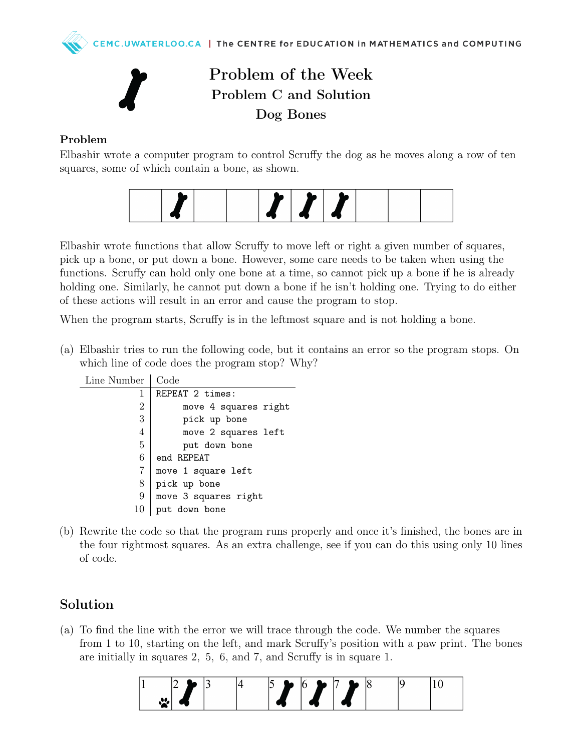

## Problem of the Week Problem C and Solution Dog Bones

## Problem

Elbashir wrote a computer program to control Scruffy the dog as he moves along a row of ten squares, some of which contain a bone, as shown.



Elbashir wrote functions that allow Scruffy to move left or right a given number of squares, pick up a bone, or put down a bone. However, some care needs to be taken when using the functions. Scruffy can hold only one bone at a time, so cannot pick up a bone if he is already holding one. Similarly, he cannot put down a bone if he isn't holding one. Trying to do either of these actions will result in an error and cause the program to stop.

When the program starts, Scruffy is in the leftmost square and is not holding a bone.

(a) Elbashir tries to run the following code, but it contains an error so the program stops. On which line of code does the program stop? Why?

| Number         | Code                 |
|----------------|----------------------|
| 1              | REPEAT 2 times:      |
| $\overline{2}$ | move 4 squares right |
| 3              | pick up bone         |
| 4              | move 2 squares left  |
| 5              | put down bone        |
| 6              | end REPEAT           |
| 7              | move 1 square left   |
| 8              | pick up bone         |
| 9              | move 3 squares right |
| 10             | put down bone        |

(b) Rewrite the code so that the program runs properly and once it's finished, the bones are in the four rightmost squares. As an extra challenge, see if you can do this using only 10 lines of code.

## Solution

Line

(a) To find the line with the error we will trace through the code. We number the squares from 1 to 10, starting on the left, and mark Scruffy's position with a paw print. The bones are initially in squares 2, 5, 6, and 7, and Scruffy is in square 1.